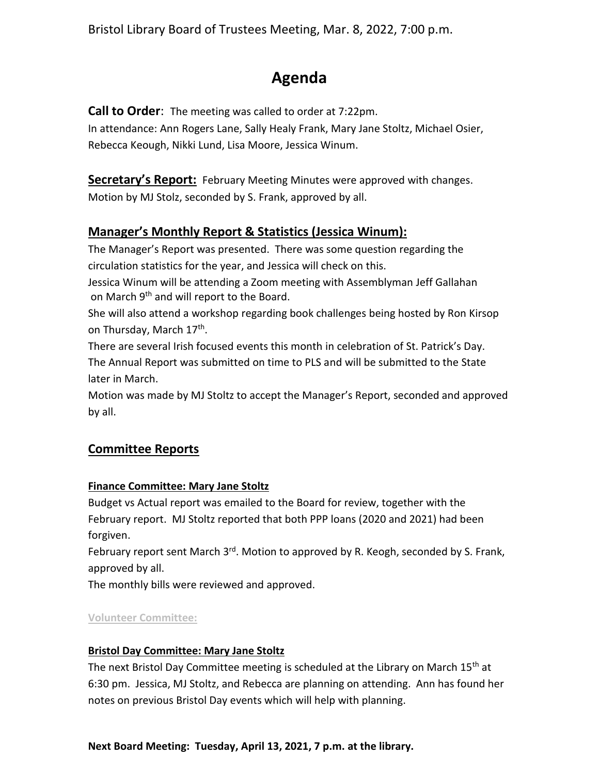Bristol Library Board of Trustees Meeting, Mar. 8, 2022, 7:00 p.m.

# **Agenda**

**Call to Order**: The meeting was called to order at 7:22pm.

In attendance: Ann Rogers Lane, Sally Healy Frank, Mary Jane Stoltz, Michael Osier, Rebecca Keough, Nikki Lund, Lisa Moore, Jessica Winum.

**Secretary's Report:** February Meeting Minutes were approved with changes. Motion by MJ Stolz, seconded by S. Frank, approved by all.

# **Manager's Monthly Report & Statistics (Jessica Winum):**

The Manager's Report was presented. There was some question regarding the circulation statistics for the year, and Jessica will check on this.

Jessica Winum will be attending a Zoom meeting with Assemblyman Jeff Gallahan on March 9<sup>th</sup> and will report to the Board.

She will also attend a workshop regarding book challenges being hosted by Ron Kirsop on Thursday, March 17<sup>th</sup>.

There are several Irish focused events this month in celebration of St. Patrick's Day. The Annual Report was submitted on time to PLS and will be submitted to the State later in March.

Motion was made by MJ Stoltz to accept the Manager's Report, seconded and approved by all.

# **Committee Reports**

## **Finance Committee: Mary Jane Stoltz**

Budget vs Actual report was emailed to the Board for review, together with the February report. MJ Stoltz reported that both PPP loans (2020 and 2021) had been forgiven.

February report sent March 3<sup>rd</sup>. Motion to approved by R. Keogh, seconded by S. Frank, approved by all.

The monthly bills were reviewed and approved.

## **Volunteer Committee:**

## **Bristol Day Committee: Mary Jane Stoltz**

The next Bristol Day Committee meeting is scheduled at the Library on March 15<sup>th</sup> at 6:30 pm. Jessica, MJ Stoltz, and Rebecca are planning on attending. Ann has found her notes on previous Bristol Day events which will help with planning.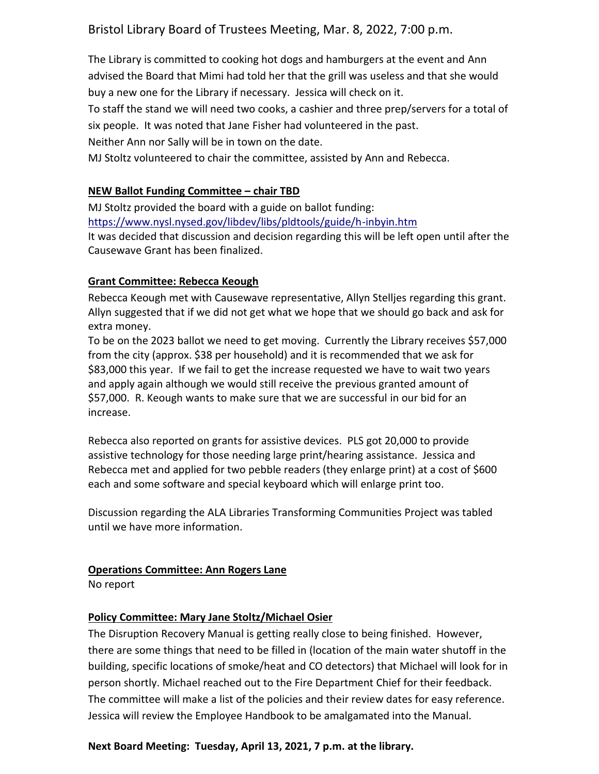# Bristol Library Board of Trustees Meeting, Mar. 8, 2022, 7:00 p.m.

The Library is committed to cooking hot dogs and hamburgers at the event and Ann advised the Board that Mimi had told her that the grill was useless and that she would buy a new one for the Library if necessary. Jessica will check on it.

To staff the stand we will need two cooks, a cashier and three prep/servers for a total of six people. It was noted that Jane Fisher had volunteered in the past.

Neither Ann nor Sally will be in town on the date.

MJ Stoltz volunteered to chair the committee, assisted by Ann and Rebecca.

## **NEW Ballot Funding Committee – chair TBD**

MJ Stoltz provided the board with a guide on ballot funding: <https://www.nysl.nysed.gov/libdev/libs/pldtools/guide/h-inbyin.htm> It was decided that discussion and decision regarding this will be left open until after the Causewave Grant has been finalized.

#### **Grant Committee: Rebecca Keough**

Rebecca Keough met with Causewave representative, Allyn Stelljes regarding this grant. Allyn suggested that if we did not get what we hope that we should go back and ask for extra money.

To be on the 2023 ballot we need to get moving. Currently the Library receives \$57,000 from the city (approx. \$38 per household) and it is recommended that we ask for \$83,000 this year. If we fail to get the increase requested we have to wait two years and apply again although we would still receive the previous granted amount of \$57,000. R. Keough wants to make sure that we are successful in our bid for an increase.

Rebecca also reported on grants for assistive devices. PLS got 20,000 to provide assistive technology for those needing large print/hearing assistance. Jessica and Rebecca met and applied for two pebble readers (they enlarge print) at a cost of \$600 each and some software and special keyboard which will enlarge print too.

Discussion regarding the ALA Libraries Transforming Communities Project was tabled until we have more information.

#### **Operations Committee: Ann Rogers Lane**

No report

## **Policy Committee: Mary Jane Stoltz/Michael Osier**

The Disruption Recovery Manual is getting really close to being finished. However, there are some things that need to be filled in (location of the main water shutoff in the building, specific locations of smoke/heat and CO detectors) that Michael will look for in person shortly. Michael reached out to the Fire Department Chief for their feedback. The committee will make a list of the policies and their review dates for easy reference. Jessica will review the Employee Handbook to be amalgamated into the Manual.

#### **Next Board Meeting: Tuesday, April 13, 2021, 7 p.m. at the library.**